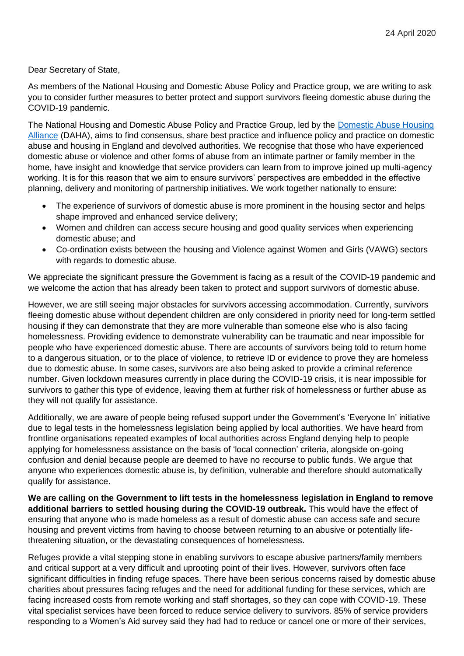Dear Secretary of State,

As members of the National Housing and Domestic Abuse Policy and Practice group, we are writing to ask you to consider further measures to better protect and support survivors fleeing domestic abuse during the COVID-19 pandemic.

The National Housing and Domestic Abuse Policy and Practice Group, led by the [Domestic Abuse Housing](http://www.dahalliance.org.uk/)  [Alliance](http://www.dahalliance.org.uk/) (DAHA), aims to find consensus, share best practice and influence policy and practice on domestic abuse and housing in England and devolved authorities. We recognise that those who have experienced domestic abuse or violence and other forms of abuse from an intimate partner or family member in the home, have insight and knowledge that service providers can learn from to improve joined up multi-agency working. It is for this reason that we aim to ensure survivors' perspectives are embedded in the effective planning, delivery and monitoring of partnership initiatives. We work together nationally to ensure:

- The experience of survivors of domestic abuse is more prominent in the housing sector and helps shape improved and enhanced service delivery;
- Women and children can access secure housing and good quality services when experiencing domestic abuse; and
- Co-ordination exists between the housing and Violence against Women and Girls (VAWG) sectors with regards to domestic abuse.

We appreciate the significant pressure the Government is facing as a result of the COVID-19 pandemic and we welcome the action that has already been taken to protect and support survivors of domestic abuse.

However, we are still seeing major obstacles for survivors accessing accommodation. Currently, survivors fleeing domestic abuse without dependent children are only considered in priority need for long-term settled housing if they can demonstrate that they are more vulnerable than someone else who is also facing homelessness. Providing evidence to demonstrate vulnerability can be traumatic and near impossible for people who have experienced domestic abuse. There are accounts of survivors being told to return home to a dangerous situation, or to the place of violence, to retrieve ID or evidence to prove they are homeless due to domestic abuse. In some cases, survivors are also being asked to provide a criminal reference number. Given lockdown measures currently in place during the COVID-19 crisis, it is near impossible for survivors to gather this type of evidence, leaving them at further risk of homelessness or further abuse as they will not qualify for assistance.

Additionally, we are aware of people being refused support under the Government's 'Everyone In' initiative due to legal tests in the homelessness legislation being applied by local authorities. We have heard from frontline organisations repeated examples of local authorities across England denying help to people applying for homelessness assistance on the basis of 'local connection' criteria, alongside on-going confusion and denial because people are deemed to have no recourse to public funds. We argue that anyone who experiences domestic abuse is, by definition, vulnerable and therefore should automatically qualify for assistance.

**We are calling on the Government to lift tests in the homelessness legislation in England to remove additional barriers to settled housing during the COVID-19 outbreak.** This would have the effect of ensuring that anyone who is made homeless as a result of domestic abuse can access safe and secure housing and prevent victims from having to choose between returning to an abusive or potentially lifethreatening situation, or the devastating consequences of homelessness.

Refuges provide a vital stepping stone in enabling survivors to escape abusive partners/family members and critical support at a very difficult and uprooting point of their lives. However, survivors often face significant difficulties in finding refuge spaces. There have been serious concerns raised by domestic abuse charities about pressures facing refuges and the need for additional funding for these services, which are facing increased costs from remote working and staff shortages, so they can cope with COVID-19. These vital specialist services have been forced to reduce service delivery to survivors. 85% of service providers responding to a Women's Aid survey said they had had to reduce or cancel one or more of their services,